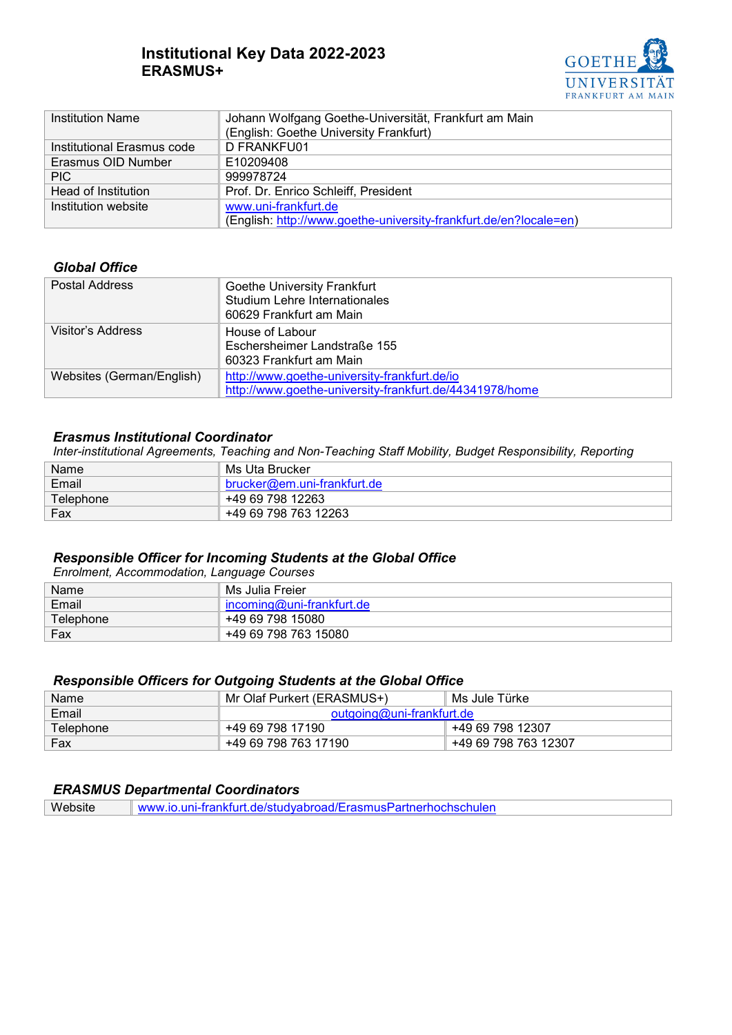# **Institutional Key Data 2022-2023 ERASMUS+**



| <b>Institution Name</b>    | Johann Wolfgang Goethe-Universität, Frankfurt am Main             |  |
|----------------------------|-------------------------------------------------------------------|--|
|                            | (English: Goethe University Frankfurt)                            |  |
| Institutional Erasmus code | D FRANKFU01                                                       |  |
| Erasmus OID Number         | E10209408                                                         |  |
| PIC.                       | 999978724                                                         |  |
| Head of Institution        | Prof. Dr. Enrico Schleiff, President                              |  |
| Institution website        | www.uni-frankfurt.de                                              |  |
|                            | (English: http://www.goethe-university-frankfurt.de/en?locale=en) |  |

## *Global Office*

| Postal Address            | Goethe University Frankfurt<br>Studium Lehre Internationales<br>60629 Frankfurt am Main                 |
|---------------------------|---------------------------------------------------------------------------------------------------------|
| Visitor's Address         | House of Labour<br>Eschersheimer Landstraße 155<br>60323 Frankfurt am Main                              |
| Websites (German/English) | http://www.goethe-university-frankfurt.de/io<br>http://www.goethe-university-frankfurt.de/44341978/home |

## *Erasmus Institutional Coordinator*

*Inter-institutional Agreements, Teaching and Non-Teaching Staff Mobility, Budget Responsibility, Reporting*

| Name      | Ms Uta Brucker              |
|-----------|-----------------------------|
| Email     | brucker@em.uni-frankfurt.de |
| Telephone | +49 69 798 12263            |
| Fax       | +49 69 798 763 12263        |

## *Responsible Officer for Incoming Students at the Global Office*

*Enrolment, Accommodation, Language Courses*

| Name      | Ms Julia Freier             |
|-----------|-----------------------------|
| Email     | $incoming@uni-frankfurt.de$ |
| Telephone | +49 69 798 15080            |
| Fax       | +49 69 798 763 15080        |

## *Responsible Officers for Outgoing Students at the Global Office*

| Name      | Mr Olaf Purkert (ERASMUS+) | Ms Jule Türke        |
|-----------|----------------------------|----------------------|
| Email     | outgoing@uni-frankfurt.de  |                      |
| Telephone | +49 69 798 17190           | +49 69 798 12307     |
| Fax       | +49 69 798 763 17190       | +49 69 798 763 12307 |

## *ERASMUS Departmental Coordinators*

Website [www.io.uni-frankfurt.de/studyabroad/ErasmusPartnerhochschulen](http://www.io.uni-frankfurt.de/studyabroad/ErasmusPartnerhochschulen)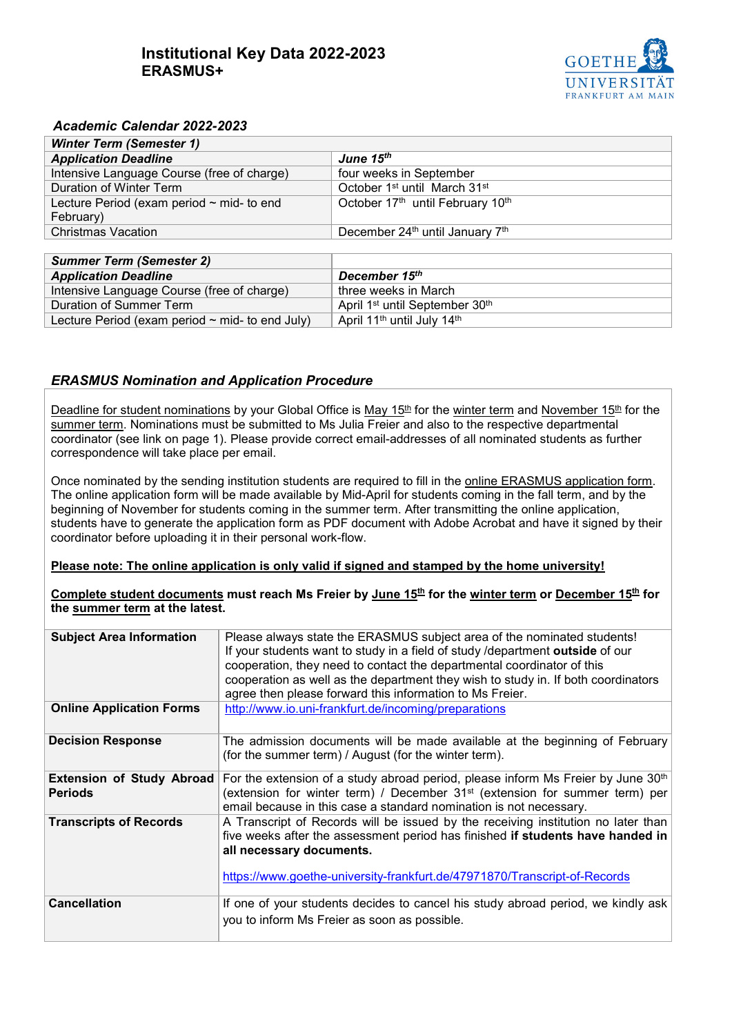# **Institutional Key Data 2022-2023 ERASMUS+**



## *Academic Calendar 2022-2023*

| <b>Winter Term (Semester 1)</b>                |                                                      |  |  |
|------------------------------------------------|------------------------------------------------------|--|--|
| <b>Application Deadline</b>                    | June 15 <sup>th</sup>                                |  |  |
| Intensive Language Course (free of charge)     | four weeks in September                              |  |  |
| Duration of Winter Term                        | October 1 <sup>st</sup> until March 31 <sup>st</sup> |  |  |
| Lecture Period (exam period $\sim$ mid- to end | October 17th until February 10th                     |  |  |
| February)                                      |                                                      |  |  |
| <b>Christmas Vacation</b>                      | December 24th until January 7th                      |  |  |
|                                                |                                                      |  |  |

| <b>Summer Term (Semester 2)</b>                      |                                                        |
|------------------------------------------------------|--------------------------------------------------------|
| <b>Application Deadline</b>                          | December 15 <sup>th</sup>                              |
| Intensive Language Course (free of charge)           | three weeks in March                                   |
| Duration of Summer Term                              | April 1 <sup>st</sup> until September 30 <sup>th</sup> |
| Lecture Period (exam period $\sim$ mid- to end July) | April 11 <sup>th</sup> until July 14 <sup>th</sup>     |

## *ERASMUS Nomination and Application Procedure*

Deadline for student nominations by your Global Office is May 15<sup>th</sup> for the winter term and November 15<sup>th</sup> for the summer term. Nominations must be submitted to Ms Julia Freier and also to the respective departmental coordinator (see link on page 1). Please provide correct email-addresses of all nominated students as further correspondence will take place per email.

Once nominated by the sending institution students are required to fill in the online ERASMUS application form. The online application form will be made available by Mid-April for students coming in the fall term, and by the beginning of November for students coming in the summer term. After transmitting the online application, students have to generate the application form as PDF document with Adobe Acrobat and have it signed by their coordinator before uploading it in their personal work-flow.

#### **Please note: The online application is only valid if signed and stamped by the home university!**

**Complete student documents must reach Ms Freier by June 15th for the winter term or December 15th for the summer term at the latest.** 

| <b>Subject Area Information</b>             | Please always state the ERASMUS subject area of the nominated students!<br>If your students want to study in a field of study /department outside of our<br>cooperation, they need to contact the departmental coordinator of this<br>cooperation as well as the department they wish to study in. If both coordinators<br>agree then please forward this information to Ms Freier. |
|---------------------------------------------|-------------------------------------------------------------------------------------------------------------------------------------------------------------------------------------------------------------------------------------------------------------------------------------------------------------------------------------------------------------------------------------|
| <b>Online Application Forms</b>             | http://www.io.uni-frankfurt.de/incoming/preparations                                                                                                                                                                                                                                                                                                                                |
| <b>Decision Response</b>                    | The admission documents will be made available at the beginning of February<br>(for the summer term) / August (for the winter term).                                                                                                                                                                                                                                                |
| Extension of Study Abroad<br><b>Periods</b> | For the extension of a study abroad period, please inform Ms Freier by June 30 <sup>th</sup><br>(extension for winter term) / December 31 <sup>st</sup> (extension for summer term) per<br>email because in this case a standard nomination is not necessary.                                                                                                                       |
| <b>Transcripts of Records</b>               | A Transcript of Records will be issued by the receiving institution no later than<br>five weeks after the assessment period has finished if students have handed in<br>all necessary documents.<br>https://www.goethe-university-frankfurt.de/47971870/Transcript-of-Records                                                                                                        |
| <b>Cancellation</b>                         | If one of your students decides to cancel his study abroad period, we kindly ask<br>you to inform Ms Freier as soon as possible.                                                                                                                                                                                                                                                    |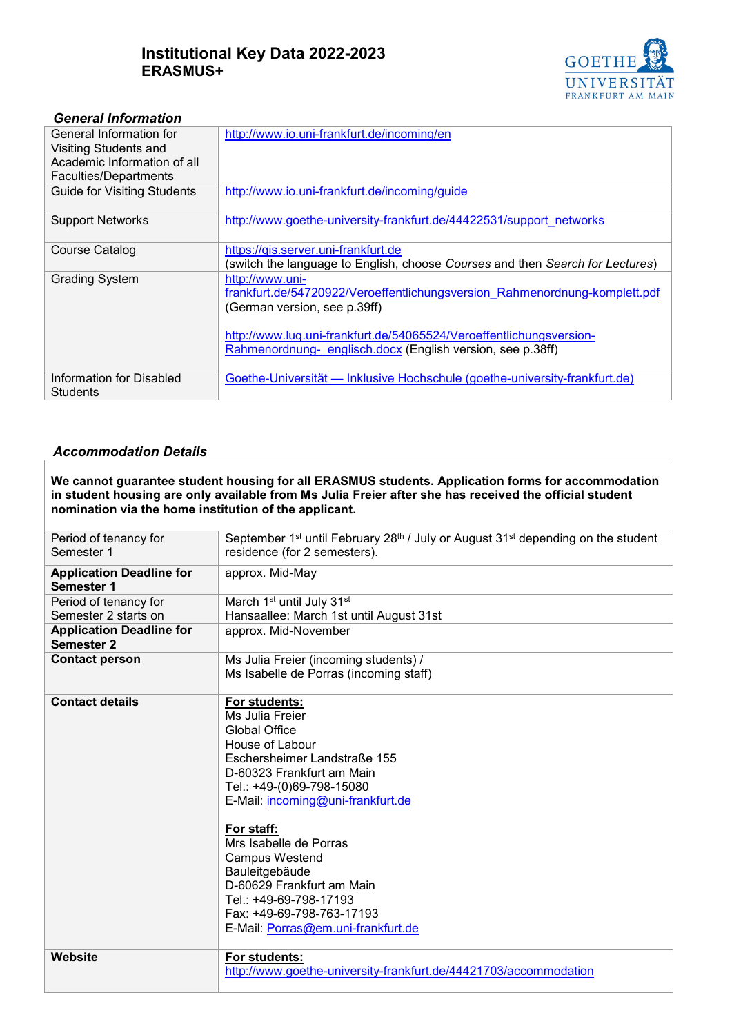# **Institutional Key Data 2022-2023 ERASMUS+**



## *General Information*

| General Information for            | http://www.io.uni-frankfurt.de/incoming/en                                    |
|------------------------------------|-------------------------------------------------------------------------------|
| <b>Visiting Students and</b>       |                                                                               |
| Academic Information of all        |                                                                               |
| Faculties/Departments              |                                                                               |
| <b>Guide for Visiting Students</b> | http://www.io.uni-frankfurt.de/incoming/guide                                 |
| <b>Support Networks</b>            | http://www.goethe-university-frankfurt.de/44422531/support networks           |
| <b>Course Catalog</b>              | https://gis.server.uni-frankfurt.de                                           |
|                                    | (switch the language to English, choose Courses and then Search for Lectures) |
| <b>Grading System</b>              | http://www.uni-                                                               |
|                                    | frankfurt.de/54720922/Veroeffentlichungsversion Rahmenordnung-komplett.pdf    |
|                                    | (German version, see p.39ff)                                                  |
|                                    | http://www.luq.uni-frankfurt.de/54065524/Veroeffentlichungsversion-           |
|                                    | Rahmenordnung- englisch.docx (English version, see p.38ff)                    |
| Information for Disabled           | Goethe-Universität — Inklusive Hochschule (goethe-university-frankfurt.de)    |
| <b>Students</b>                    |                                                                               |

### *Accommodation Details*

**We cannot guarantee student housing for all ERASMUS students. Application forms for accommodation in student housing are only available from Ms Julia Freier after she has received the official student nomination via the home institution of the applicant.** 

| Period of tenancy for<br>Semester 1                  | September 1 <sup>st</sup> until February 28 <sup>th</sup> / July or August 31 <sup>st</sup> depending on the student<br>residence (for 2 semesters).                                                                                                                                                                                                                                                                    |  |
|------------------------------------------------------|-------------------------------------------------------------------------------------------------------------------------------------------------------------------------------------------------------------------------------------------------------------------------------------------------------------------------------------------------------------------------------------------------------------------------|--|
| <b>Application Deadline for</b><br><b>Semester 1</b> | approx. Mid-May                                                                                                                                                                                                                                                                                                                                                                                                         |  |
| Period of tenancy for                                | March 1 <sup>st</sup> until July 31 <sup>st</sup>                                                                                                                                                                                                                                                                                                                                                                       |  |
| Semester 2 starts on                                 | Hansaallee: March 1st until August 31st                                                                                                                                                                                                                                                                                                                                                                                 |  |
| <b>Application Deadline for</b><br><b>Semester 2</b> | approx. Mid-November                                                                                                                                                                                                                                                                                                                                                                                                    |  |
| <b>Contact person</b>                                | Ms Julia Freier (incoming students) /<br>Ms Isabelle de Porras (incoming staff)                                                                                                                                                                                                                                                                                                                                         |  |
| <b>Contact details</b>                               | For students:<br>Ms Julia Freier<br><b>Global Office</b><br>House of Labour<br>Eschersheimer Landstraße 155<br>D-60323 Frankfurt am Main<br>Tel.: +49-(0)69-798-15080<br>E-Mail: incoming@uni-frankfurt.de<br>For staff:<br>Mrs Isabelle de Porras<br><b>Campus Westend</b><br>Bauleitgebäude<br>D-60629 Frankfurt am Main<br>Tel.: +49-69-798-17193<br>Fax: +49-69-798-763-17193<br>E-Mail: Porras@em.uni-frankfurt.de |  |
| Website                                              | For students:<br>http://www.goethe-university-frankfurt.de/44421703/accommodation                                                                                                                                                                                                                                                                                                                                       |  |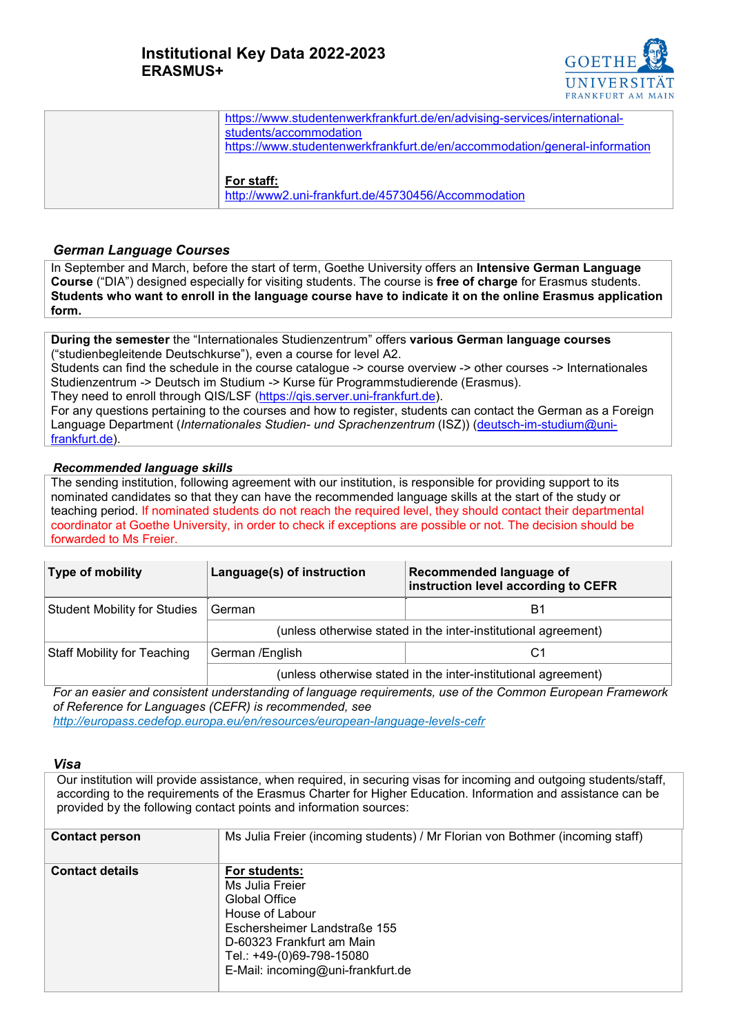

| https://www.studentenwerkfrankfurt.de/en/advising-services/international-  |
|----------------------------------------------------------------------------|
| students/accommodation                                                     |
| https://www.studentenwerkfrankfurt.de/en/accommodation/general-information |
|                                                                            |
| For staff:                                                                 |
| http://www2.uni-frankfurt.de/45730456/Accommodation                        |
|                                                                            |

### *German Language Courses*

In September and March, before the start of term, Goethe University offers an **Intensive German Language Course** ("DIA") designed especially for visiting students. The course is **free of charge** for Erasmus students. **Students who want to enroll in the language course have to indicate it on the online Erasmus application form.**

**During the semester** the "Internationales Studienzentrum" offers **various German language courses** ("studienbegleitende Deutschkurse"), even a course for level A2.

Students can find the schedule in the course catalogue -> course overview -> other courses -> Internationales Studienzentrum -> Deutsch im Studium -> Kurse für Programmstudierende (Erasmus). Thev need to enroll through QIS/LSF [\(https://qis.server.uni-frankfurt.de\)](https://qis.server.uni-frankfurt.de/).

For any questions pertaining to the courses and how to register, students can contact the German as a Foreign Language Department (*Internationales Studien- und Sprachenzentrum* (ISZ)) [\(deutsch-im-studium@uni](mailto:deutsch-im-studium@uni-frankfurt.de)[frankfurt.de\)](mailto:deutsch-im-studium@uni-frankfurt.de).

### *Recommended language skills*

The sending institution, following agreement with our institution, is responsible for providing support to its nominated candidates so that they can have the recommended language skills at the start of the study or teaching period. If nominated students do not reach the required level, they should contact their departmental coordinator at Goethe University, in order to check if exceptions are possible or not. The decision should be forwarded to Ms Freier.

| Type of mobility                    | Language(s) of instruction                                     | Recommended language of<br>instruction level according to CEFR |
|-------------------------------------|----------------------------------------------------------------|----------------------------------------------------------------|
| <b>Student Mobility for Studies</b> | German                                                         | B1                                                             |
|                                     | (unless otherwise stated in the inter-institutional agreement) |                                                                |
| <b>Staff Mobility for Teaching</b>  | German / English                                               |                                                                |
|                                     | (unless otherwise stated in the inter-institutional agreement) |                                                                |

*For an easier and consistent understanding of language requirements, use of the Common European Framework of Reference for Languages (CEFR) is recommended, see* 

*<http://europass.cedefop.europa.eu/en/resources/european-language-levels-cefr>*

#### *Visa*

Our institution will provide assistance, when required, in securing visas for incoming and outgoing students/staff, according to the requirements of the Erasmus Charter for Higher Education. Information and assistance can be provided by the following contact points and information sources:

| <b>Contact person</b>  | Ms Julia Freier (incoming students) / Mr Florian von Bothmer (incoming staff)                                                                                                                       |
|------------------------|-----------------------------------------------------------------------------------------------------------------------------------------------------------------------------------------------------|
| <b>Contact details</b> | For students:<br>Ms Julia Freier<br>Global Office<br>House of Labour<br>Eschersheimer Landstraße 155<br>D-60323 Frankfurt am Main<br>Tel.: +49-(0)69-798-15080<br>E-Mail: incoming@uni-frankfurt.de |